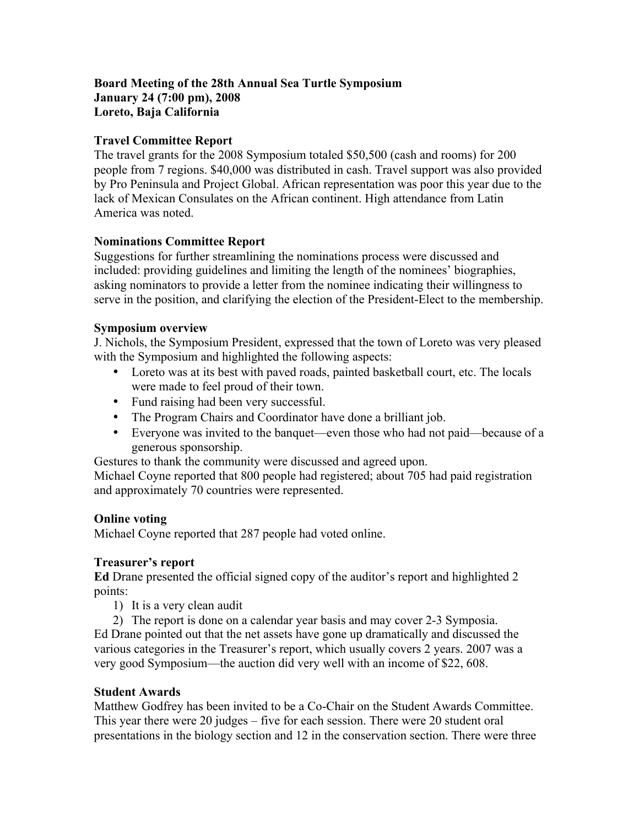## **Board Meeting of the 28th Annual Sea Turtle Symposium January 24 (7:00 pm), 2008 Loreto, Baja California**

## **Travel Committee Report**

The travel grants for the 2008 Symposium totaled \$50,500 (cash and rooms) for 200 people from 7 regions. \$40,000 was distributed in cash. Travel support was also provided by Pro Peninsula and Project Global. African representation was poor this year due to the lack of Mexican Consulates on the African continent. High attendance from Latin America was noted.

## **Nominations Committee Report**

Suggestions for further streamlining the nominations process were discussed and included: providing guidelines and limiting the length of the nominees' biographies, asking nominators to provide a letter from the nominee indicating their willingness to serve in the position, and clarifying the election of the President-Elect to the membership.

## **Symposium overview**

J. Nichols, the Symposium President, expressed that the town of Loreto was very pleased with the Symposium and highlighted the following aspects:

- Loreto was at its best with paved roads, painted basketball court, etc. The locals were made to feel proud of their town.
- Fund raising had been very successful.
- The Program Chairs and Coordinator have done a brilliant job.
- Everyone was invited to the banquet—even those who had not paid—because of a generous sponsorship.

Gestures to thank the community were discussed and agreed upon.

Michael Coyne reported that 800 people had registered; about 705 had paid registration and approximately 70 countries were represented.

# **Online voting**

Michael Coyne reported that 287 people had voted online.

# **Treasurer's report**

**Ed** Drane presented the official signed copy of the auditor's report and highlighted 2 points:

- 1) It is a very clean audit
- 2) The report is done on a calendar year basis and may cover 2-3 Symposia.

Ed Drane pointed out that the net assets have gone up dramatically and discussed the various categories in the Treasurer's report, which usually covers 2 years. 2007 was a very good Symposium—the auction did very well with an income of \$22, 608.

# **Student Awards**

Matthew Godfrey has been invited to be a Co-Chair on the Student Awards Committee. This year there were 20 judges – five for each session. There were 20 student oral presentations in the biology section and 12 in the conservation section. There were three